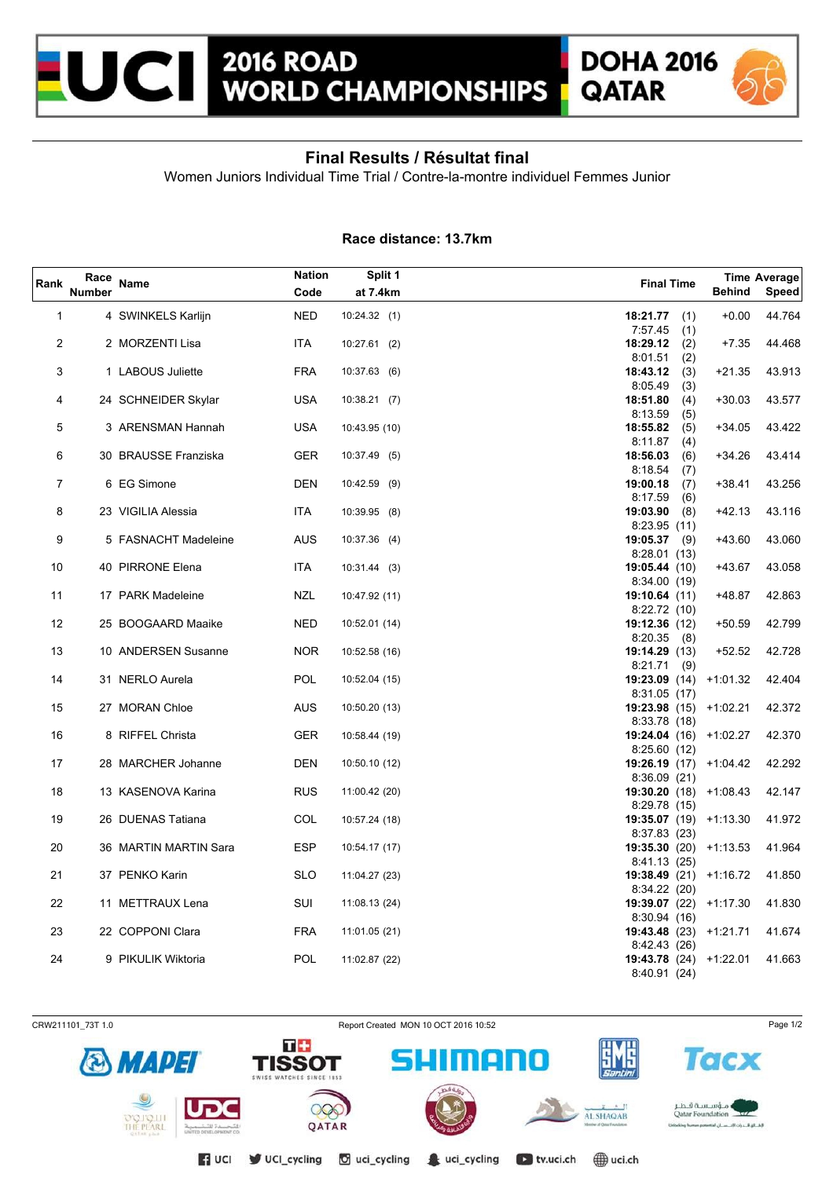



## **Final Results / Résultat final**

Women Juniors Individual Time Trial / Contre-la-montre individuel Femmes Junior

## **Race distance: 13.7km**

| Rank | Race<br><b>Number</b> | Name                  | Nation<br>Code | Split 1<br>at 7.4km | <b>Final Time</b>              | <b>Behind</b>                   | Time Average<br>Speed |
|------|-----------------------|-----------------------|----------------|---------------------|--------------------------------|---------------------------------|-----------------------|
| 1    |                       | 4 SWINKELS Karlijn    | <b>NED</b>     | 10:24.32(1)         | 18:21.77                       | $+0.00$<br>(1)                  | 44.764                |
| 2    |                       | 2 MORZENTI Lisa       | ITA            | 10:27.61(2)         | 7:57.45<br>18:29.12            | (1)<br>(2)<br>$+7.35$           | 44.468                |
| 3    |                       | 1 LABOUS Juliette     | <b>FRA</b>     | 10:37.63(6)         | 8:01.51<br>18:43.12<br>8:05.49 | (2)<br>(3)<br>$+21.35$<br>(3)   | 43.913                |
| 4    |                       | 24 SCHNEIDER Skylar   | <b>USA</b>     | 10:38.21(7)         | 18:51.80                       | (4)<br>$+30.03$                 | 43.577                |
| 5    |                       | 3 ARENSMAN Hannah     | <b>USA</b>     | 10:43.95 (10)       | 8:13.59<br>18:55.82<br>8:11.87 | (5)<br>$+34.05$<br>(5)<br>(4)   | 43.422                |
| 6    |                       | 30 BRAUSSE Franziska  | <b>GER</b>     | 10:37.49 (5)        | 18:56.03<br>8:18.54            | $+34.26$<br>(6)<br>(7)          | 43.414                |
| 7    |                       | 6 EG Simone           | <b>DEN</b>     | 10:42.59 (9)        | 19:00.18<br>8:17.59            | (7)<br>+38.41<br>(6)            | 43.256                |
| 8    |                       | 23 VIGILIA Alessia    | ITA            | 10:39.95 (8)        | 19:03.90<br>8:23.95(11)        | (8)<br>$+42.13$                 | 43.116                |
| 9    |                       | 5 FASNACHT Madeleine  | <b>AUS</b>     | $10:37.36$ (4)      | 19:05.37<br>8:28.01(13)        | +43.60<br>(9)                   | 43.060                |
| 10   |                       | 40 PIRRONE Elena      | ITA.           | $10:31.44$ (3)      | 19:05.44(10)<br>8:34.00(19)    | +43.67                          | 43.058                |
| 11   |                       | 17 PARK Madeleine     | <b>NZL</b>     | 10:47.92 (11)       | 19:10.64(11)                   | +48.87                          | 42.863                |
| 12   |                       | 25 BOOGAARD Maaike    | NED            | 10:52.01 (14)       | 8:22.72 (10)<br>19:12.36(12)   | $+50.59$                        | 42.799                |
| 13   |                       | 10 ANDERSEN Susanne   | <b>NOR</b>     | 10:52.58 (16)       | 8:20.35<br>(8)<br>19:14.29(13) | $+52.52$                        | 42.728                |
| 14   |                       | 31 NERLO Aurela       | <b>POL</b>     | 10:52.04 (15)       | 8:21.71(9)<br>8:31.05 (17)     | <b>19:23.09</b> (14) $+1:01.32$ | 42.404                |
| 15   |                       | 27 MORAN Chloe        | <b>AUS</b>     | 10:50.20 (13)       | 8:33.78(18)                    | 19:23.98 (15) +1:02.21          | 42.372                |
| 16   |                       | 8 RIFFEL Christa      | GER            | 10:58.44 (19)       |                                | 19:24.04 (16) +1:02.27          | 42.370                |
| 17   |                       | 28 MARCHER Johanne    | <b>DEN</b>     | 10:50.10 (12)       | 8:25.60 (12)                   | 19:26.19 (17) +1:04.42          | 42.292                |
| 18   |                       | 13 KASENOVA Karina    | <b>RUS</b>     | 11:00.42 (20)       | 8:36.09(21)                    | $19:30.20(18) +1:08.43$         | 42.147                |
| 19   |                       | 26 DUENAS Tatiana     | COL            | 10:57.24 (18)       | 8:29.78 (15)                   | <b>19:35.07</b> (19) $+1:13.30$ | 41.972                |
| 20   |                       | 36 MARTIN MARTIN Sara | <b>ESP</b>     | 10:54.17 (17)       | 8:37.83(23)                    | $19:35.30(20) +1:13.53$         | 41.964                |
| 21   |                       | 37 PENKO Karin        | <b>SLO</b>     | 11:04.27 (23)       | 8:41.13 (25)                   | 19:38.49 (21) +1:16.72          | 41.850                |
| 22   |                       | 11 METTRAUX Lena      | SUI            | 11:08.13 (24)       | 8:34.22(20)                    | <b>19:39.07</b> (22) $+1:17.30$ | 41.830                |
| 23   |                       | 22 COPPONI Clara      | <b>FRA</b>     | 11:01.05 (21)       | 8:30.94(16)<br>8:42.43 (26)    | 19:43.48 (23) +1:21.71          | 41.674                |
| 24   |                       | 9 PIKULIK Wiktoria    | POL            | 11:02.87 (22)       | 8:40.91 (24)                   | <b>19:43.78</b> (24) $+1:22.01$ | 41.663                |